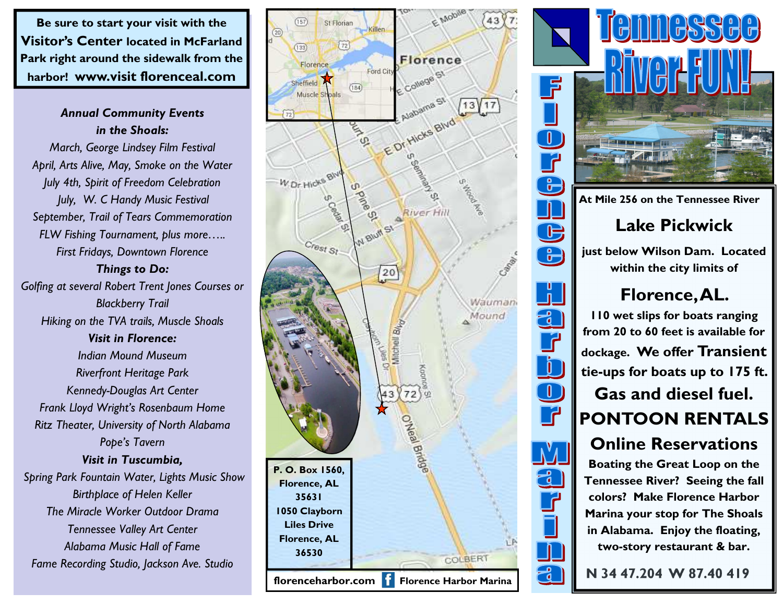**Be sure to start your visit with the Visitor's Center located in McFarland Park right around the sidewalk from the harbor! www.visit florenceal.com**

## *Annual Community Events in the Shoals:*

*March, George Lindsey Film Festival April, Arts Alive, May, Smoke on the Water July 4th, Spirit of Freedom Celebration July, W. C Handy Music Festival September, Trail of Tears Commemoration FLW Fishing Tournament, plus more….. First Fridays, Downtown Florence* 

*Things to Do:* 

*Golfing at several Robert Trent Jones Courses or Blackberry Trail Hiking on the TVA trails, Muscle Shoals Visit in Florence: Indian Mound Museum Riverfront Heritage Park Kennedy-Douglas Art Center Frank Lloyd Wright's Rosenbaum Home Ritz Theater, University of North Alabama Pope's Tavern Visit in Tuscumbia, Spring Park Fountain Water, Lights Music Show Birthplace of Helen Keller The Miracle Worker Outdoor Drama Tennessee Valley Art Center Alabama Music Hall of Fame Fame Recording Studio, Jackson Ave. Studio* 





**Boating the Great Loop on the Tennessee River? Seeing the fall colors? Make Florence Harbor Marina your stop for The Shoals in Alabama. Enjoy the floating, two-story restaurant & bar.**